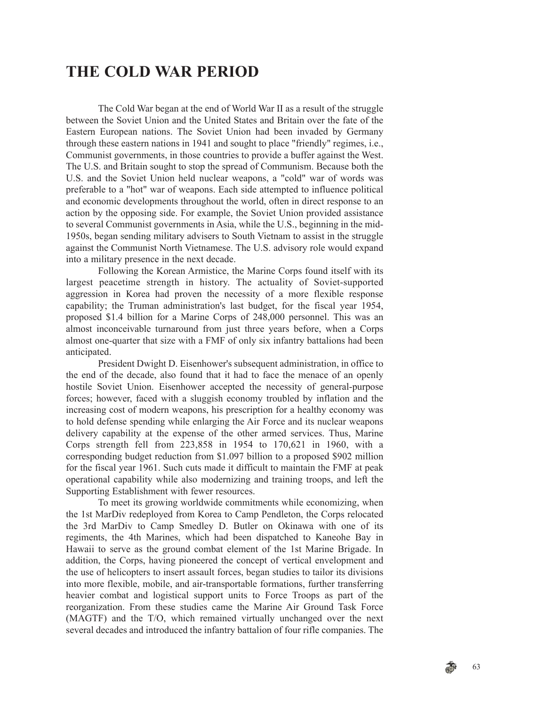## **THE COLD WAR PERIOD**

The Cold War began at the end of World War II as a result of the struggle between the Soviet Union and the United States and Britain over the fate of the Eastern European nations. The Soviet Union had been invaded by Germany through these eastern nations in 1941 and sought to place "friendly" regimes, i.e., Communist governments, in those countries to provide a buffer against the West. The U.S. and Britain sought to stop the spread of Communism. Because both the U.S. and the Soviet Union held nuclear weapons, a "cold" war of words was preferable to a "hot" war of weapons. Each side attempted to influence political and economic developments throughout the world, often in direct response to an action by the opposing side. For example, the Soviet Union provided assistance to several Communist governments in Asia, while the U.S., beginning in the mid-1950s, began sending military advisers to South Vietnam to assist in the struggle against the Communist North Vietnamese. The U.S. advisory role would expand into a military presence in the next decade.

Following the Korean Armistice, the Marine Corps found itself with its largest peacetime strength in history. The actuality of Soviet-supported aggression in Korea had proven the necessity of a more flexible response capability; the Truman administration's last budget, for the fiscal year 1954, proposed \$1.4 billion for a Marine Corps of 248,000 personnel. This was an almost inconceivable turnaround from just three years before, when a Corps almost one-quarter that size with a FMF of only six infantry battalions had been anticipated.

President Dwight D. Eisenhower's subsequent administration, in office to the end of the decade, also found that it had to face the menace of an openly hostile Soviet Union. Eisenhower accepted the necessity of general-purpose forces; however, faced with a sluggish economy troubled by inflation and the increasing cost of modern weapons, his prescription for a healthy economy was to hold defense spending while enlarging the Air Force and its nuclear weapons delivery capability at the expense of the other armed services. Thus, Marine Corps strength fell from 223,858 in 1954 to 170,621 in 1960, with a corresponding budget reduction from \$1.097 billion to a proposed \$902 million for the fiscal year 1961. Such cuts made it difficult to maintain the FMF at peak operational capability while also modernizing and training troops, and left the Supporting Establishment with fewer resources.

To meet its growing worldwide commitments while economizing, when the 1st MarDiv redeployed from Korea to Camp Pendleton, the Corps relocated the 3rd MarDiv to Camp Smedley D. Butler on Okinawa with one of its regiments, the 4th Marines, which had been dispatched to Kaneohe Bay in Hawaii to serve as the ground combat element of the 1st Marine Brigade. In addition, the Corps, having pioneered the concept of vertical envelopment and the use of helicopters to insert assault forces, began studies to tailor its divisions into more flexible, mobile, and air-transportable formations, further transferring heavier combat and logistical support units to Force Troops as part of the reorganization. From these studies came the Marine Air Ground Task Force (MAGTF) and the T/O, which remained virtually unchanged over the next several decades and introduced the infantry battalion of four rifle companies. The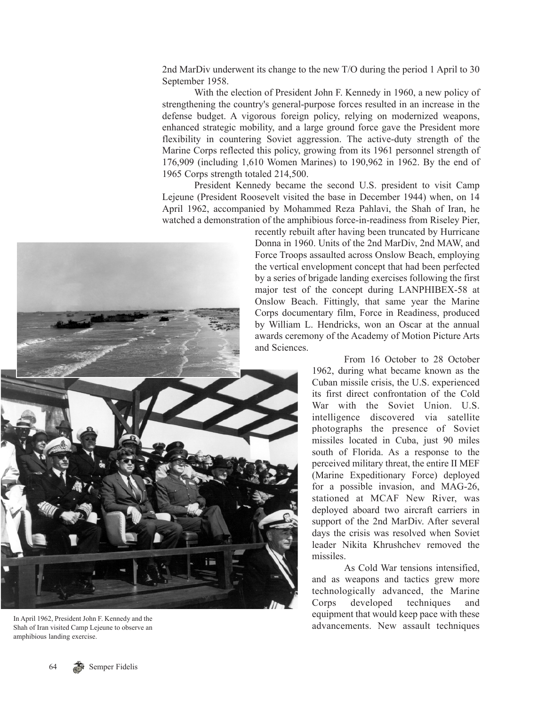2nd MarDiv underwent its change to the new T/O during the period 1 April to 30 September 1958.

With the election of President John F. Kennedy in 1960, a new policy of strengthening the country's general-purpose forces resulted in an increase in the defense budget. A vigorous foreign policy, relying on modernized weapons, enhanced strategic mobility, and a large ground force gave the President more flexibility in countering Soviet aggression. The active-duty strength of the Marine Corps reflected this policy, growing from its 1961 personnel strength of 176,909 (including 1,610 Women Marines) to 190,962 in 1962. By the end of 1965 Corps strength totaled 214,500.

President Kennedy became the second U.S. president to visit Camp Lejeune (President Roosevelt visited the base in December 1944) when, on 14 April 1962, accompanied by Mohammed Reza Pahlavi, the Shah of Iran, he watched a demonstration of the amphibious force-in-readiness from Riseley Pier,

recently rebuilt after having been truncated by Hurricane Donna in 1960. Units of the 2nd MarDiv, 2nd MAW, and Force Troops assaulted across Onslow Beach, employing the vertical envelopment concept that had been perfected by a series of brigade landing exercises following the first major test of the concept during LANPHIBEX-58 at Onslow Beach. Fittingly, that same year the Marine Corps documentary film, Force in Readiness, produced by William L. Hendricks, won an Oscar at the annual awards ceremony of the Academy of Motion Picture Arts and Sciences.

From 16 October to 28 October 1962, during what became known as the Cuban missile crisis, the U.S. experienced its first direct confrontation of the Cold War with the Soviet Union. U.S. intelligence discovered via satellite photographs the presence of Soviet missiles located in Cuba, just 90 miles south of Florida. As a response to the perceived military threat, the entire II MEF (Marine Expeditionary Force) deployed for a possible invasion, and MAG-26, stationed at MCAF New River, was deployed aboard two aircraft carriers in support of the 2nd MarDiv. After several days the crisis was resolved when Soviet leader Nikita Khrushchev removed the missiles.

As Cold War tensions intensified, and as weapons and tactics grew more technologically advanced, the Marine Corps developed techniques and equipment that would keep pace with these In April 1962, President John F. Kennedy and the equipment in a would keep pace with these equipment in a would keep pace with the set



Shah of Iran visited Camp Lejeune to observe an amphibious landing exercise.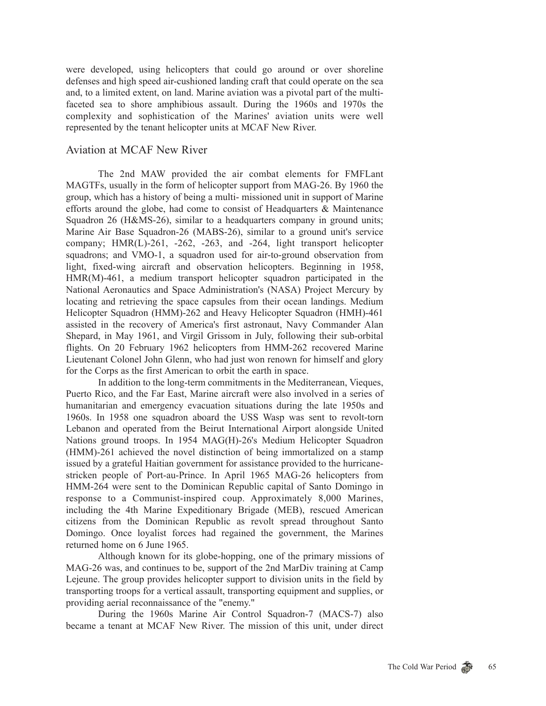were developed, using helicopters that could go around or over shoreline defenses and high speed air-cushioned landing craft that could operate on the sea and, to a limited extent, on land. Marine aviation was a pivotal part of the multifaceted sea to shore amphibious assault. During the 1960s and 1970s the complexity and sophistication of the Marines' aviation units were well represented by the tenant helicopter units at MCAF New River.

## Aviation at MCAF New River

The 2nd MAW provided the air combat elements for FMFLant MAGTFs, usually in the form of helicopter support from MAG-26. By 1960 the group, which has a history of being a multi- missioned unit in support of Marine efforts around the globe, had come to consist of Headquarters & Maintenance Squadron 26 (H&MS-26), similar to a headquarters company in ground units; Marine Air Base Squadron-26 (MABS-26), similar to a ground unit's service company; HMR(L)-261, -262, -263, and -264, light transport helicopter squadrons; and VMO-1, a squadron used for air-to-ground observation from light, fixed-wing aircraft and observation helicopters. Beginning in 1958, HMR(M)-461, a medium transport helicopter squadron participated in the National Aeronautics and Space Administration's (NASA) Project Mercury by locating and retrieving the space capsules from their ocean landings. Medium Helicopter Squadron (HMM)-262 and Heavy Helicopter Squadron (HMH)-461 assisted in the recovery of America's first astronaut, Navy Commander Alan Shepard, in May 1961, and Virgil Grissom in July, following their sub-orbital flights. On 20 February 1962 helicopters from HMM-262 recovered Marine Lieutenant Colonel John Glenn, who had just won renown for himself and glory for the Corps as the first American to orbit the earth in space.

In addition to the long-term commitments in the Mediterranean, Vieques, Puerto Rico, and the Far East, Marine aircraft were also involved in a series of humanitarian and emergency evacuation situations during the late 1950s and 1960s. In 1958 one squadron aboard the USS Wasp was sent to revolt-torn Lebanon and operated from the Beirut International Airport alongside United Nations ground troops. In 1954 MAG(H)-26's Medium Helicopter Squadron (HMM)-261 achieved the novel distinction of being immortalized on a stamp issued by a grateful Haitian government for assistance provided to the hurricanestricken people of Port-au-Prince. In April 1965 MAG-26 helicopters from HMM-264 were sent to the Dominican Republic capital of Santo Domingo in response to a Communist-inspired coup. Approximately 8,000 Marines, including the 4th Marine Expeditionary Brigade (MEB), rescued American citizens from the Dominican Republic as revolt spread throughout Santo Domingo. Once loyalist forces had regained the government, the Marines returned home on 6 June 1965.

Although known for its globe-hopping, one of the primary missions of MAG-26 was, and continues to be, support of the 2nd MarDiv training at Camp Lejeune. The group provides helicopter support to division units in the field by transporting troops for a vertical assault, transporting equipment and supplies, or providing aerial reconnaissance of the "enemy."

During the 1960s Marine Air Control Squadron-7 (MACS-7) also became a tenant at MCAF New River. The mission of this unit, under direct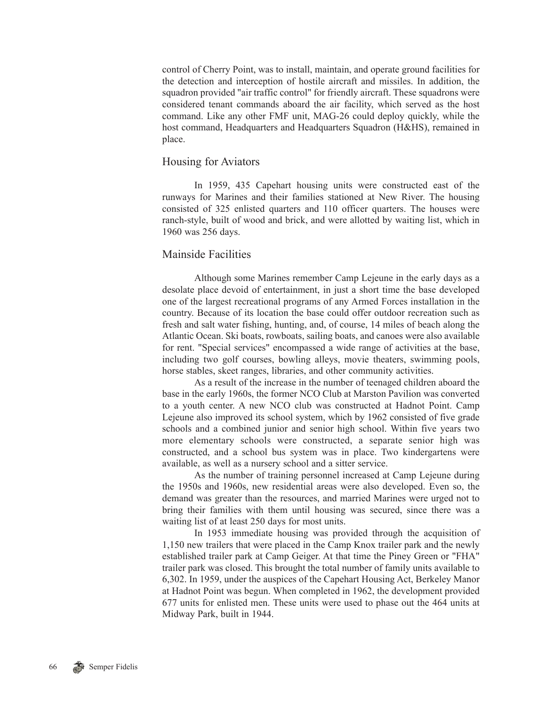control of Cherry Point, was to install, maintain, and operate ground facilities for the detection and interception of hostile aircraft and missiles. In addition, the squadron provided "air traffic control" for friendly aircraft. These squadrons were considered tenant commands aboard the air facility, which served as the host command. Like any other FMF unit, MAG-26 could deploy quickly, while the host command, Headquarters and Headquarters Squadron (H&HS), remained in place.

## Housing for Aviators

In 1959, 435 Capehart housing units were constructed east of the runways for Marines and their families stationed at New River. The housing consisted of 325 enlisted quarters and 110 officer quarters. The houses were ranch-style, built of wood and brick, and were allotted by waiting list, which in 1960 was 256 days.

## Mainside Facilities

Although some Marines remember Camp Lejeune in the early days as a desolate place devoid of entertainment, in just a short time the base developed one of the largest recreational programs of any Armed Forces installation in the country. Because of its location the base could offer outdoor recreation such as fresh and salt water fishing, hunting, and, of course, 14 miles of beach along the Atlantic Ocean. Ski boats, rowboats, sailing boats, and canoes were also available for rent. "Special services" encompassed a wide range of activities at the base, including two golf courses, bowling alleys, movie theaters, swimming pools, horse stables, skeet ranges, libraries, and other community activities.

As a result of the increase in the number of teenaged children aboard the base in the early 1960s, the former NCO Club at Marston Pavilion was converted to a youth center. A new NCO club was constructed at Hadnot Point. Camp Lejeune also improved its school system, which by 1962 consisted of five grade schools and a combined junior and senior high school. Within five years two more elementary schools were constructed, a separate senior high was constructed, and a school bus system was in place. Two kindergartens were available, as well as a nursery school and a sitter service.

As the number of training personnel increased at Camp Lejeune during the 1950s and 1960s, new residential areas were also developed. Even so, the demand was greater than the resources, and married Marines were urged not to bring their families with them until housing was secured, since there was a waiting list of at least 250 days for most units.

In 1953 immediate housing was provided through the acquisition of 1,150 new trailers that were placed in the Camp Knox trailer park and the newly established trailer park at Camp Geiger. At that time the Piney Green or "FHA" trailer park was closed. This brought the total number of family units available to 6,302. In 1959, under the auspices of the Capehart Housing Act, Berkeley Manor at Hadnot Point was begun. When completed in 1962, the development provided 677 units for enlisted men. These units were used to phase out the 464 units at Midway Park, built in 1944.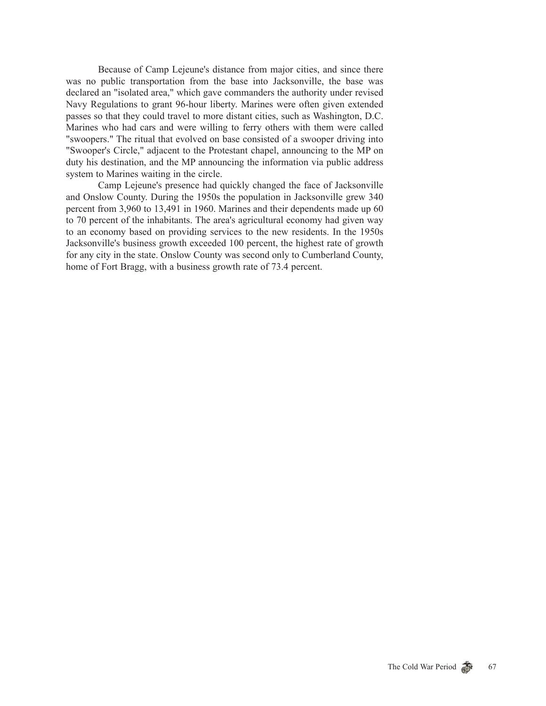Because of Camp Lejeune's distance from major cities, and since there was no public transportation from the base into Jacksonville, the base was declared an "isolated area," which gave commanders the authority under revised Navy Regulations to grant 96-hour liberty. Marines were often given extended passes so that they could travel to more distant cities, such as Washington, D.C. Marines who had cars and were willing to ferry others with them were called "swoopers." The ritual that evolved on base consisted of a swooper driving into "Swooper's Circle," adjacent to the Protestant chapel, announcing to the MP on duty his destination, and the MP announcing the information via public address system to Marines waiting in the circle.

Camp Lejeune's presence had quickly changed the face of Jacksonville and Onslow County. During the 1950s the population in Jacksonville grew 340 percent from 3,960 to 13,491 in 1960. Marines and their dependents made up 60 to 70 percent of the inhabitants. The area's agricultural economy had given way to an economy based on providing services to the new residents. In the 1950s Jacksonville's business growth exceeded 100 percent, the highest rate of growth for any city in the state. Onslow County was second only to Cumberland County, home of Fort Bragg, with a business growth rate of 73.4 percent.